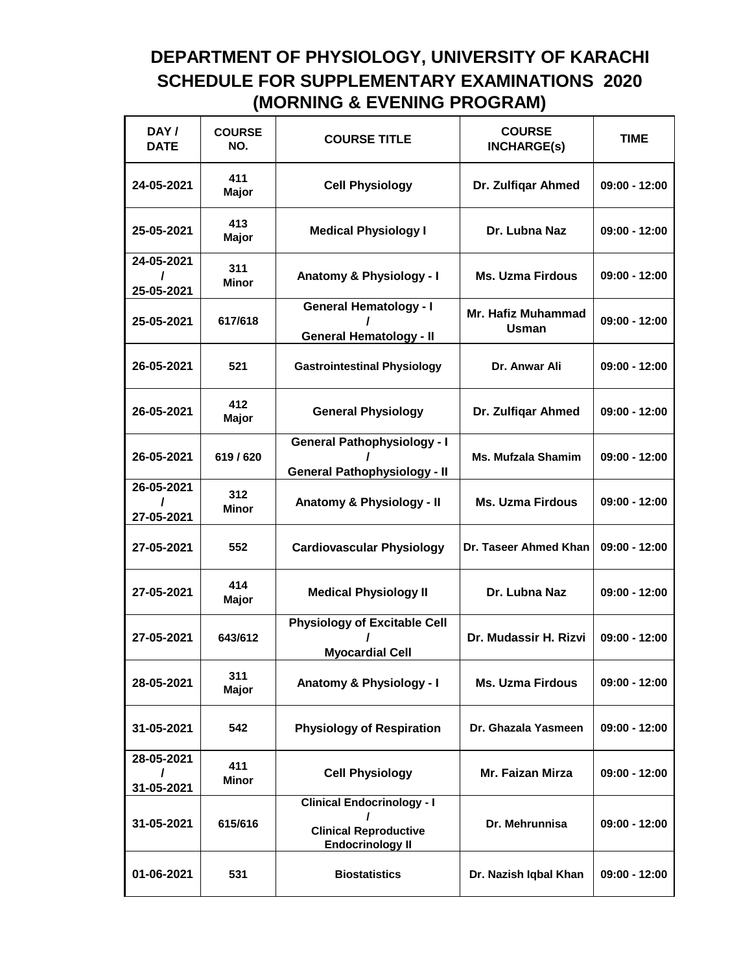## **DEPARTMENT OF PHYSIOLOGY, UNIVERSITY OF KARACHI SCHEDULE FOR SUPPLEMENTARY EXAMINATIONS 2020 (MORNING & EVENING PROGRAM)**

| DAY/<br><b>DATE</b>      | <b>COURSE</b><br>NO. | <b>COURSE TITLE</b>                                                                               | <b>COURSE</b><br><b>INCHARGE(s)</b> | TIME            |
|--------------------------|----------------------|---------------------------------------------------------------------------------------------------|-------------------------------------|-----------------|
| 24-05-2021               | 411<br>Major         | <b>Cell Physiology</b>                                                                            | Dr. Zulfigar Ahmed                  | $09:00 - 12:00$ |
| 25-05-2021               | 413<br>Major         | <b>Medical Physiology I</b>                                                                       | Dr. Lubna Naz                       | 09:00 - 12:00   |
| 24-05-2021<br>25-05-2021 | 311<br>Minor         | Anatomy & Physiology - I                                                                          | <b>Ms. Uzma Firdous</b>             | 09:00 - 12:00   |
| 25-05-2021               | 617/618              | <b>General Hematology - I</b><br><b>General Hematology - II</b>                                   | <b>Mr. Hafiz Muhammad</b><br>Usman  | $09:00 - 12:00$ |
| 26-05-2021               | 521                  | <b>Gastrointestinal Physiology</b>                                                                | Dr. Anwar Ali                       | $09:00 - 12:00$ |
| 26-05-2021               | 412<br><b>Major</b>  | <b>General Physiology</b>                                                                         | Dr. Zulfigar Ahmed                  | $09:00 - 12:00$ |
| 26-05-2021               | 619/620              | <b>General Pathophysiology - I</b><br><b>General Pathophysiology - II</b>                         | <b>Ms. Mufzala Shamim</b>           | $09:00 - 12:00$ |
| 26-05-2021<br>27-05-2021 | 312<br><b>Minor</b>  | Anatomy & Physiology - II                                                                         | <b>Ms. Uzma Firdous</b>             | $09:00 - 12:00$ |
| 27-05-2021               | 552                  | <b>Cardiovascular Physiology</b>                                                                  | Dr. Taseer Ahmed Khan               | $09:00 - 12:00$ |
| 27-05-2021               | 414<br>Major         | <b>Medical Physiology II</b>                                                                      | Dr. Lubna Naz                       | $09:00 - 12:00$ |
| 27-05-2021               | 643/612              | <b>Physiology of Excitable Cell</b><br><b>Myocardial Cell</b>                                     | Dr. Mudassir H. Rizvi               | $09:00 - 12:00$ |
| 28-05-2021               | 311<br><b>Major</b>  | Anatomy & Physiology - I                                                                          | <b>Ms. Uzma Firdous</b>             | $09:00 - 12:00$ |
| 31-05-2021               | 542                  | <b>Physiology of Respiration</b>                                                                  | Dr. Ghazala Yasmeen                 | $09:00 - 12:00$ |
| 28-05-2021<br>31-05-2021 | 411<br>Minor         | <b>Cell Physiology</b>                                                                            | Mr. Faizan Mirza                    | $09:00 - 12:00$ |
| 31-05-2021               | 615/616              | <b>Clinical Endocrinology - I</b><br>I<br><b>Clinical Reproductive</b><br><b>Endocrinology II</b> | Dr. Mehrunnisa                      | $09:00 - 12:00$ |
| 01-06-2021               | 531                  | <b>Biostatistics</b>                                                                              | Dr. Nazish Iqbal Khan               | $09:00 - 12:00$ |